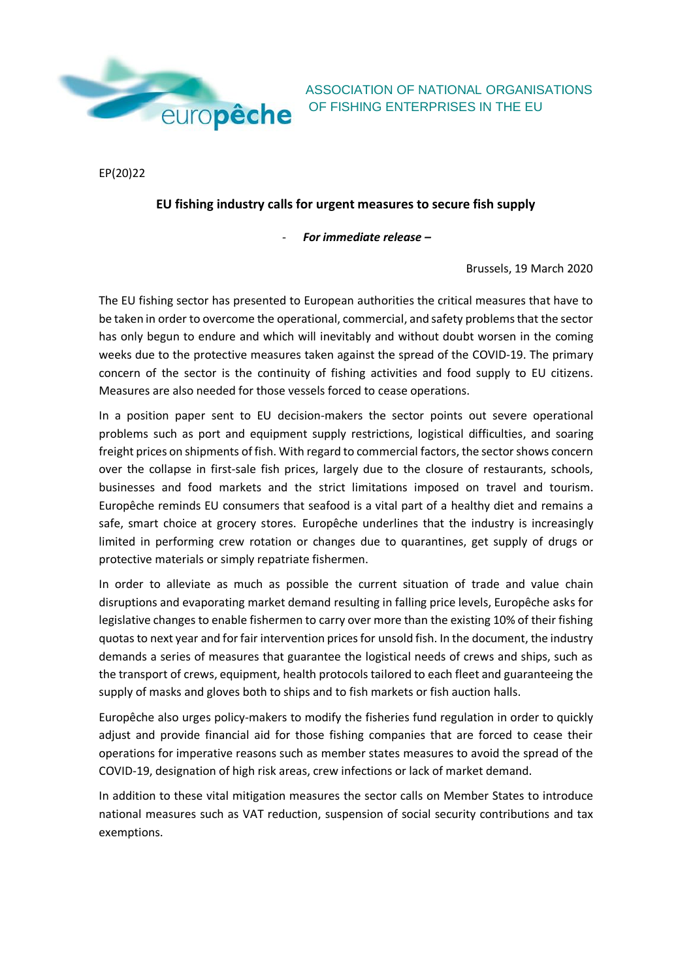

ASSOCIATION OF NATIONAL ORGANISATIONS

EP(20)22

## **EU fishing industry calls for urgent measures to secure fish supply**

- *For immediate release –*

Brussels, 19 March 2020

The EU fishing sector has presented to European authorities the critical measures that have to be taken in order to overcome the operational, commercial, and safety problems that the sector has only begun to endure and which will inevitably and without doubt worsen in the coming weeks due to the protective measures taken against the spread of the COVID-19. The primary concern of the sector is the continuity of fishing activities and food supply to EU citizens. Measures are also needed for those vessels forced to cease operations.

In a position paper sent to EU decision-makers the sector points out severe operational problems such as port and equipment supply restrictions, logistical difficulties, and soaring freight prices on shipments of fish. With regard to commercial factors, the sector shows concern over the collapse in first-sale fish prices, largely due to the closure of restaurants, schools, businesses and food markets and the strict limitations imposed on travel and tourism. Europêche reminds EU consumers that seafood is a vital part of a healthy diet and remains a safe, smart choice at grocery stores. Europêche underlines that the industry is increasingly limited in performing crew rotation or changes due to quarantines, get supply of drugs or protective materials or simply repatriate fishermen.

In order to alleviate as much as possible the current situation of trade and value chain disruptions and evaporating market demand resulting in falling price levels, Europêche asks for legislative changes to enable fishermen to carry over more than the existing 10% of their fishing quotas to next year and for fair intervention prices for unsold fish. In the document, the industry demands a series of measures that guarantee the logistical needs of crews and ships, such as the transport of crews, equipment, health protocols tailored to each fleet and guaranteeing the supply of masks and gloves both to ships and to fish markets or fish auction halls.

Europêche also urges policy-makers to modify the fisheries fund regulation in order to quickly adjust and provide financial aid for those fishing companies that are forced to cease their operations for imperative reasons such as member states measures to avoid the spread of the COVID-19, designation of high risk areas, crew infections or lack of market demand.

In addition to these vital mitigation measures the sector calls on Member States to introduce national measures such as VAT reduction, suspension of social security contributions and tax exemptions.